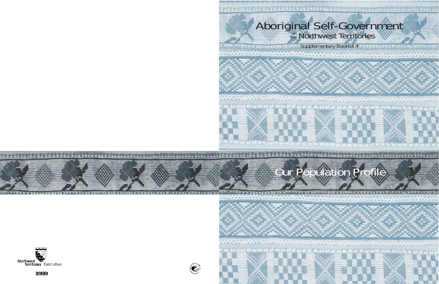# Aboriginal Self-Government

Supplementary Booklet 4

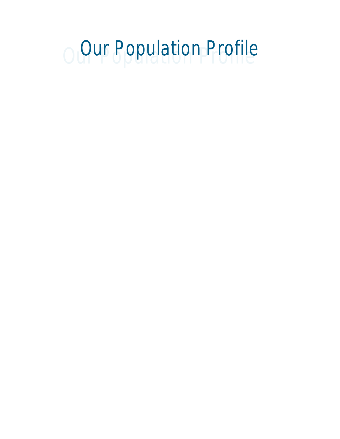# O Our Population Profile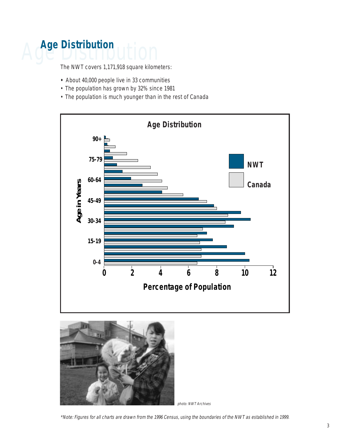# **Age Distribution**

The NWT covers 1,171,918 square kilometers:

- **•** About 40,000 people live in 33 communities
- The population has grown by 32% since 1981
- The population is much younger than in the rest of Canada





photo: NWT Archives

\*Note: Figures for all charts are drawn from the 1996 Census, using the boundaries of the NWT as established in 1999.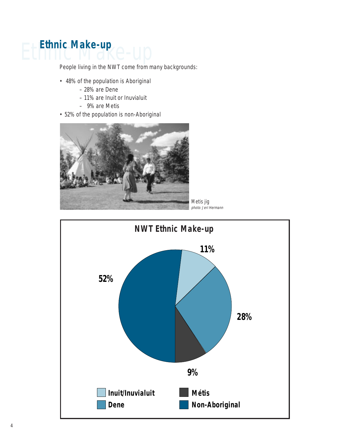## **Ethnic Make-up**

People living in the NWT come from many backgrounds:

- 48% of the population is Aboriginal
	- 28% are Dene
	- 11% are Inuit or Inuvialuit
	- 9% are Metis
- 52% of the population is non-Aboriginal



Metis jig photo: Jeri Hermann

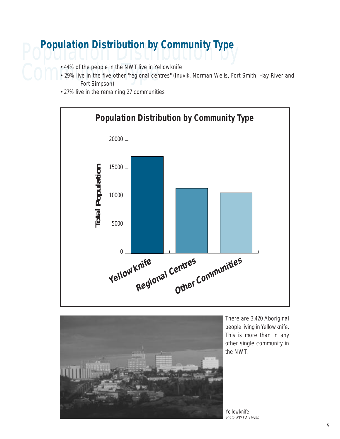# **Population Distribution by Community Type**

- 
- 44% of the people in the NWT live in Yellowknife<br>• 29% live in the five other "regional centres" (Inu<br>Fort Simpson) • 29% live in the five other "regional centres" (Inuvik, Norman Wells, Fort Smith, Hay River and Fort Simpson)
	- 27% live in the remaining 27 communities





There are 3,420 Aboriginal people living in Yellowknife. This is more than in any other single community in the NWT.

Yellowknife photo: NWT Archives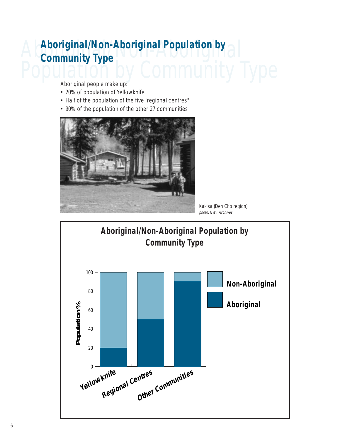#### Aboriginal/Non-Aboriginal **Aboriginal/Non-Aboriginal Population by** Population by Community Type **Community Type**

Aboriginal people make up:

- 20% of population of Yellowknife
- Half of the population of the five "regional centres"
- 90% of the population of the other 27 communities



Kakisa (Deh Cho region) photo: NWT Archives